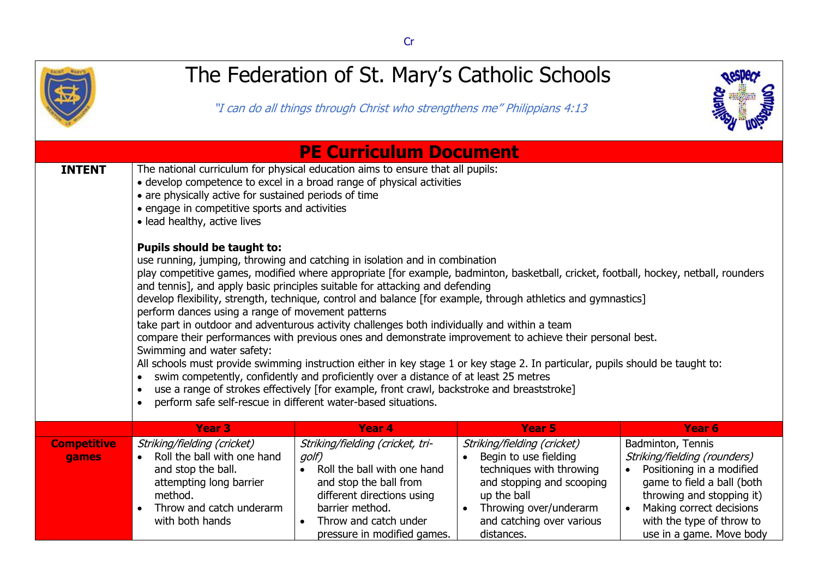

## The Federation of St. Mary's Catholic Schools

"I can do all things through Christ who strengthens me" Philippians 4:13



|                             |                                                                                                                                                                                                                                                                                                                                                                                                                                                                                                                                                                                                                                                                                                                                                                                                                                                                                                                                                                                                                                                                                                                                                                  | <b>PE Curriculum Document</b>                                                                                                                                                                               |                                                                                                                                                                                                   |                                                                                                                                                                                                                                |  |  |
|-----------------------------|------------------------------------------------------------------------------------------------------------------------------------------------------------------------------------------------------------------------------------------------------------------------------------------------------------------------------------------------------------------------------------------------------------------------------------------------------------------------------------------------------------------------------------------------------------------------------------------------------------------------------------------------------------------------------------------------------------------------------------------------------------------------------------------------------------------------------------------------------------------------------------------------------------------------------------------------------------------------------------------------------------------------------------------------------------------------------------------------------------------------------------------------------------------|-------------------------------------------------------------------------------------------------------------------------------------------------------------------------------------------------------------|---------------------------------------------------------------------------------------------------------------------------------------------------------------------------------------------------|--------------------------------------------------------------------------------------------------------------------------------------------------------------------------------------------------------------------------------|--|--|
| <b>INTENT</b>               | • are physically active for sustained periods of time<br>• engage in competitive sports and activities<br>• lead healthy, active lives                                                                                                                                                                                                                                                                                                                                                                                                                                                                                                                                                                                                                                                                                                                                                                                                                                                                                                                                                                                                                           | The national curriculum for physical education aims to ensure that all pupils:<br>• develop competence to excel in a broad range of physical activities                                                     |                                                                                                                                                                                                   |                                                                                                                                                                                                                                |  |  |
|                             | <b>Pupils should be taught to:</b><br>use running, jumping, throwing and catching in isolation and in combination<br>play competitive games, modified where appropriate [for example, badminton, basketball, cricket, football, hockey, netball, rounders<br>and tennis], and apply basic principles suitable for attacking and defending<br>develop flexibility, strength, technique, control and balance [for example, through athletics and gymnastics]<br>perform dances using a range of movement patterns<br>take part in outdoor and adventurous activity challenges both individually and within a team<br>compare their performances with previous ones and demonstrate improvement to achieve their personal best.<br>Swimming and water safety:<br>All schools must provide swimming instruction either in key stage 1 or key stage 2. In particular, pupils should be taught to:<br>swim competently, confidently and proficiently over a distance of at least 25 metres<br>$\bullet$<br>use a range of strokes effectively [for example, front crawl, backstroke and breaststroke]<br>perform safe self-rescue in different water-based situations. |                                                                                                                                                                                                             |                                                                                                                                                                                                   |                                                                                                                                                                                                                                |  |  |
|                             | <b>Year 3</b>                                                                                                                                                                                                                                                                                                                                                                                                                                                                                                                                                                                                                                                                                                                                                                                                                                                                                                                                                                                                                                                                                                                                                    | <b>Year 4</b>                                                                                                                                                                                               | <b>Year 5</b>                                                                                                                                                                                     | Year <sub>6</sub>                                                                                                                                                                                                              |  |  |
| <b>Competitive</b><br>games | Striking/fielding (cricket)<br>Roll the ball with one hand<br>$\bullet$<br>and stop the ball.<br>attempting long barrier<br>method.<br>Throw and catch underarm<br>with both hands                                                                                                                                                                                                                                                                                                                                                                                                                                                                                                                                                                                                                                                                                                                                                                                                                                                                                                                                                                               | Striking/fielding (cricket, tri-<br>golf)<br>Roll the ball with one hand<br>and stop the ball from<br>different directions using<br>barrier method.<br>Throw and catch under<br>pressure in modified games. | Striking/fielding (cricket)<br>Begin to use fielding<br>techniques with throwing<br>and stopping and scooping<br>up the ball<br>Throwing over/underarm<br>and catching over various<br>distances. | Badminton, Tennis<br>Striking/fielding (rounders)<br>Positioning in a modified<br>game to field a ball (both<br>throwing and stopping it)<br>Making correct decisions<br>with the type of throw to<br>use in a game. Move body |  |  |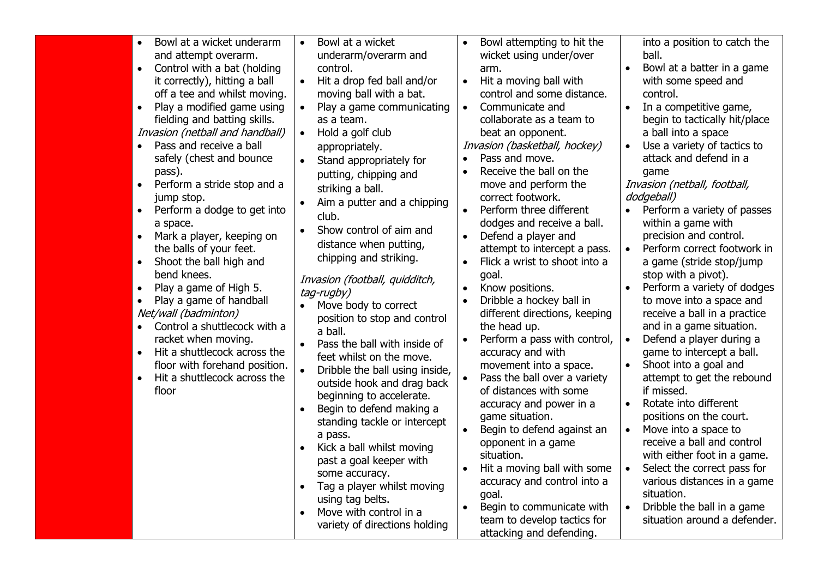| Bowl at a wicket underarm<br>$\bullet$<br>and attempt overarm.<br>Control with a bat (holding<br>$\bullet$<br>it correctly), hitting a ball<br>off a tee and whilst moving.<br>Play a modified game using<br>$\bullet$<br>fielding and batting skills.<br>Invasion (netball and handball)<br>Pass and receive a ball<br>$\bullet$<br>safely (chest and bounce<br>pass).<br>Perform a stride stop and a<br>$\bullet$<br>jump stop.<br>Perform a dodge to get into<br>$\bullet$<br>a space.<br>Mark a player, keeping on<br>$\bullet$<br>the balls of your feet.<br>Shoot the ball high and<br>$\bullet$<br>bend knees.<br>Play a game of High 5.<br>$\bullet$<br>Play a game of handball<br>$\bullet$<br>Net/wall (badminton)<br>Control a shuttlecock with a<br>$\bullet$<br>racket when moving.<br>Hit a shuttlecock across the<br>$\bullet$<br>floor with forehand position.<br>Hit a shuttlecock across the<br>$\bullet$<br>floor | Bowl at a wicket<br>$\bullet$<br>underarm/overarm and<br>control.<br>Hit a drop fed ball and/or<br>$\bullet$<br>moving ball with a bat.<br>Play a game communicating<br>$\bullet$<br>as a team.<br>Hold a golf club<br>$\bullet$<br>appropriately.<br>Stand appropriately for<br>putting, chipping and<br>striking a ball.<br>Aim a putter and a chipping<br>club.<br>Show control of aim and<br>$\bullet$<br>distance when putting,<br>chipping and striking.<br>Invasion (football, quidditch,<br>tag-rugby)<br>Move body to correct<br>position to stop and control<br>a ball.<br>Pass the ball with inside of<br>feet whilst on the move.<br>Dribble the ball using inside,<br>outside hook and drag back<br>beginning to accelerate.<br>Begin to defend making a<br>standing tackle or intercept<br>a pass.<br>Kick a ball whilst moving<br>$\bullet$<br>past a goal keeper with<br>some accuracy.<br>Tag a player whilst moving<br>using tag belts.<br>Move with control in a<br>variety of directions holding | Bowl attempting to hit the<br>$\bullet$<br>wicket using under/over<br>arm.<br>Hit a moving ball with<br>$\bullet$<br>control and some distance.<br>Communicate and<br>$\bullet$<br>collaborate as a team to<br>beat an opponent.<br>Invasion (basketball, hockey)<br>Pass and move.<br>$\bullet$<br>Receive the ball on the<br>$\bullet$<br>move and perform the<br>correct footwork.<br>Perform three different<br>$\bullet$<br>dodges and receive a ball.<br>Defend a player and<br>attempt to intercept a pass.<br>Flick a wrist to shoot into a<br>$\bullet$<br>goal.<br>Know positions.<br>$\bullet$<br>Dribble a hockey ball in<br>$\bullet$<br>different directions, keeping<br>the head up.<br>Perform a pass with control,<br>$\bullet$<br>accuracy and with<br>movement into a space.<br>Pass the ball over a variety<br>of distances with some<br>accuracy and power in a<br>game situation.<br>$\bullet$<br>Begin to defend against an<br>opponent in a game<br>situation.<br>Hit a moving ball with some<br>$\bullet$<br>accuracy and control into a<br>goal.<br>Begin to communicate with<br>$\bullet$<br>team to develop tactics for<br>attacking and defending. | into a position to catch the<br>ball.<br>Bowl at a batter in a game<br>$\bullet$<br>with some speed and<br>control.<br>In a competitive game,<br>$\bullet$<br>begin to tactically hit/place<br>a ball into a space<br>Use a variety of tactics to<br>$\bullet$<br>attack and defend in a<br>qame<br>Invasion (netball, football,<br>dodgeball)<br>Perform a variety of passes<br>within a game with<br>precision and control.<br>Perform correct footwork in<br>$\bullet$<br>a game (stride stop/jump<br>stop with a pivot).<br>Perform a variety of dodges<br>$\bullet$<br>to move into a space and<br>receive a ball in a practice<br>and in a game situation.<br>Defend a player during a<br>$\bullet$<br>game to intercept a ball.<br>Shoot into a goal and<br>attempt to get the rebound<br>if missed.<br>Rotate into different<br>$\bullet$<br>positions on the court.<br>Move into a space to<br>$\bullet$<br>receive a ball and control<br>with either foot in a game.<br>Select the correct pass for<br>$\bullet$<br>various distances in a game<br>situation.<br>Dribble the ball in a game<br>$\bullet$<br>situation around a defender. |
|--------------------------------------------------------------------------------------------------------------------------------------------------------------------------------------------------------------------------------------------------------------------------------------------------------------------------------------------------------------------------------------------------------------------------------------------------------------------------------------------------------------------------------------------------------------------------------------------------------------------------------------------------------------------------------------------------------------------------------------------------------------------------------------------------------------------------------------------------------------------------------------------------------------------------------------|----------------------------------------------------------------------------------------------------------------------------------------------------------------------------------------------------------------------------------------------------------------------------------------------------------------------------------------------------------------------------------------------------------------------------------------------------------------------------------------------------------------------------------------------------------------------------------------------------------------------------------------------------------------------------------------------------------------------------------------------------------------------------------------------------------------------------------------------------------------------------------------------------------------------------------------------------------------------------------------------------------------------|---------------------------------------------------------------------------------------------------------------------------------------------------------------------------------------------------------------------------------------------------------------------------------------------------------------------------------------------------------------------------------------------------------------------------------------------------------------------------------------------------------------------------------------------------------------------------------------------------------------------------------------------------------------------------------------------------------------------------------------------------------------------------------------------------------------------------------------------------------------------------------------------------------------------------------------------------------------------------------------------------------------------------------------------------------------------------------------------------------------------------------------------------------------------------------|----------------------------------------------------------------------------------------------------------------------------------------------------------------------------------------------------------------------------------------------------------------------------------------------------------------------------------------------------------------------------------------------------------------------------------------------------------------------------------------------------------------------------------------------------------------------------------------------------------------------------------------------------------------------------------------------------------------------------------------------------------------------------------------------------------------------------------------------------------------------------------------------------------------------------------------------------------------------------------------------------------------------------------------------------------------------------------------------------------------------------------------------------|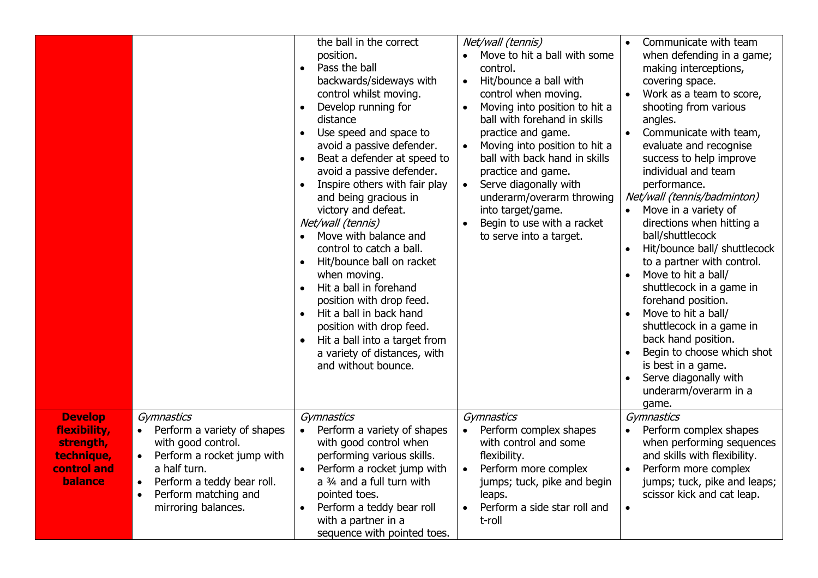|                                                                                     |                                                                                                                                                                                                                                   | the ball in the correct<br>position.<br>Pass the ball<br>$\bullet$<br>backwards/sideways with<br>control whilst moving.<br>Develop running for<br>$\bullet$<br>distance<br>Use speed and space to<br>$\bullet$<br>avoid a passive defender.<br>Beat a defender at speed to<br>$\bullet$<br>avoid a passive defender.<br>Inspire others with fair play<br>$\bullet$<br>and being gracious in<br>victory and defeat.<br>Net/wall (tennis)<br>Move with balance and<br>$\bullet$<br>control to catch a ball.<br>Hit/bounce ball on racket<br>when moving.<br>Hit a ball in forehand<br>$\bullet$<br>position with drop feed.<br>Hit a ball in back hand<br>$\bullet$<br>position with drop feed.<br>Hit a ball into a target from<br>$\bullet$<br>a variety of distances, with<br>and without bounce. | Net/wall (tennis)<br>Move to hit a ball with some<br>$\bullet$<br>control.<br>Hit/bounce a ball with<br>$\bullet$<br>control when moving.<br>Moving into position to hit a<br>$\bullet$<br>ball with forehand in skills<br>practice and game.<br>Moving into position to hit a<br>$\bullet$<br>ball with back hand in skills<br>practice and game.<br>Serve diagonally with<br>$\bullet$<br>underarm/overarm throwing<br>into target/game.<br>Begin to use with a racket<br>to serve into a target. | Communicate with team<br>when defending in a game;<br>making interceptions,<br>covering space.<br>Work as a team to score,<br>shooting from various<br>angles.<br>Communicate with team,<br>evaluate and recognise<br>success to help improve<br>individual and team<br>performance.<br>Net/wall (tennis/badminton)<br>Move in a variety of<br>directions when hitting a<br>ball/shuttlecock<br>Hit/bounce ball/ shuttlecock<br>to a partner with control.<br>Move to hit a ball/<br>shuttlecock in a game in<br>forehand position.<br>Move to hit a ball/<br>shuttlecock in a game in<br>back hand position.<br>Begin to choose which shot<br>is best in a game.<br>Serve diagonally with<br>underarm/overarm in a<br>game. |
|-------------------------------------------------------------------------------------|-----------------------------------------------------------------------------------------------------------------------------------------------------------------------------------------------------------------------------------|----------------------------------------------------------------------------------------------------------------------------------------------------------------------------------------------------------------------------------------------------------------------------------------------------------------------------------------------------------------------------------------------------------------------------------------------------------------------------------------------------------------------------------------------------------------------------------------------------------------------------------------------------------------------------------------------------------------------------------------------------------------------------------------------------|-----------------------------------------------------------------------------------------------------------------------------------------------------------------------------------------------------------------------------------------------------------------------------------------------------------------------------------------------------------------------------------------------------------------------------------------------------------------------------------------------------|------------------------------------------------------------------------------------------------------------------------------------------------------------------------------------------------------------------------------------------------------------------------------------------------------------------------------------------------------------------------------------------------------------------------------------------------------------------------------------------------------------------------------------------------------------------------------------------------------------------------------------------------------------------------------------------------------------------------------|
| <b>Develop</b><br>flexibility,<br>strength,<br>technique,<br>control and<br>balance | Gymnastics<br>Perform a variety of shapes<br>with good control.<br>Perform a rocket jump with<br>$\bullet$<br>a half turn.<br>Perform a teddy bear roll.<br>$\bullet$<br>Perform matching and<br>$\bullet$<br>mirroring balances. | Gymnastics<br>Perform a variety of shapes<br>$\bullet$<br>with good control when<br>performing various skills.<br>Perform a rocket jump with<br>a 3/4 and a full turn with<br>pointed toes.<br>Perform a teddy bear roll<br>$\bullet$<br>with a partner in a<br>sequence with pointed toes.                                                                                                                                                                                                                                                                                                                                                                                                                                                                                                        | Gymnastics<br>Perform complex shapes<br>with control and some<br>flexibility.<br>Perform more complex<br>$\bullet$<br>jumps; tuck, pike and begin<br>leaps.<br>Perform a side star roll and<br>t-roll                                                                                                                                                                                                                                                                                               | Gymnastics<br>Perform complex shapes<br>when performing sequences<br>and skills with flexibility.<br>Perform more complex<br>jumps; tuck, pike and leaps;<br>scissor kick and cat leap.<br>$\bullet$                                                                                                                                                                                                                                                                                                                                                                                                                                                                                                                         |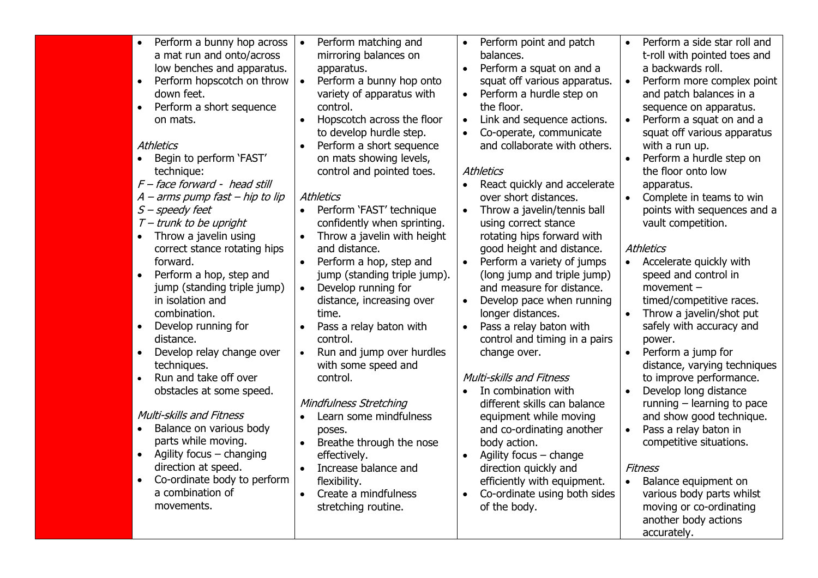| Perform a bunny hop across<br>$\bullet$<br>a mat run and onto/across<br>low benches and apparatus.<br>Perform hopscotch on throw<br>$\bullet$<br>down feet.<br>Perform a short sequence<br>$\bullet$<br>on mats.<br><b>Athletics</b><br>Begin to perform 'FAST'<br>$\bullet$<br>technique:<br>F - face forward - head still<br>$A$ – arms pump fast – hip to lip<br>S - speedy feet<br>$T$ – trunk to be upright<br>Throw a javelin using<br>correct stance rotating hips<br>forward.<br>Perform a hop, step and<br>$\bullet$<br>jump (standing triple jump)<br>in isolation and<br>combination.<br>Develop running for<br>$\bullet$<br>distance.<br>Develop relay change over<br>techniques.<br>Run and take off over<br>obstacles at some speed.<br><b>Multi-skills and Fitness</b><br>Balance on various body<br>parts while moving.<br>Agility focus - changing<br>direction at speed.<br>Co-ordinate body to perform | Perform matching and<br>$\bullet$<br>mirroring balances on<br>apparatus.<br>Perform a bunny hop onto<br>$\bullet$<br>variety of apparatus with<br>control.<br>Hopscotch across the floor<br>to develop hurdle step.<br>Perform a short sequence<br>$\bullet$<br>on mats showing levels,<br>control and pointed toes.<br>Athletics<br>Perform 'FAST' technique<br>$\bullet$<br>confidently when sprinting.<br>Throw a javelin with height<br>and distance.<br>Perform a hop, step and<br>$\bullet$<br>jump (standing triple jump).<br>Develop running for<br>$\bullet$<br>distance, increasing over<br>time.<br>Pass a relay baton with<br>$\bullet$<br>control.<br>Run and jump over hurdles<br>$\bullet$<br>with some speed and<br>control.<br>Mindfulness Stretching<br>Learn some mindfulness<br>poses.<br>Breathe through the nose<br>$\bullet$<br>effectively.<br>Increase balance and<br>flexibility. | Perform point and patch<br>$\bullet$<br>balances.<br>Perform a squat on and a<br>squat off various apparatus.<br>Perform a hurdle step on<br>the floor.<br>Link and sequence actions.<br>Co-operate, communicate<br>and collaborate with others.<br>Athletics<br>React quickly and accelerate<br>over short distances.<br>Throw a javelin/tennis ball<br>$\bullet$<br>using correct stance<br>rotating hips forward with<br>good height and distance.<br>Perform a variety of jumps<br>$\bullet$<br>(long jump and triple jump)<br>and measure for distance.<br>Develop pace when running<br>longer distances.<br>Pass a relay baton with<br>$\bullet$<br>control and timing in a pairs<br>change over.<br>Multi-skills and Fitness<br>In combination with<br>$\bullet$<br>different skills can balance<br>equipment while moving<br>and co-ordinating another<br>body action.<br>Agility focus $-$ change<br>direction quickly and<br>efficiently with equipment. | Perform a side star roll and<br>$\bullet$<br>t-roll with pointed toes and<br>a backwards roll.<br>Perform more complex point<br>$\bullet$<br>and patch balances in a<br>sequence on apparatus.<br>Perform a squat on and a<br>squat off various apparatus<br>with a run up.<br>Perform a hurdle step on<br>the floor onto low<br>apparatus.<br>Complete in teams to win<br>$\bullet$<br>points with sequences and a<br>vault competition.<br>Athletics<br>Accelerate quickly with<br>$\bullet$<br>speed and control in<br>$momentum -$<br>timed/competitive races.<br>Throw a javelin/shot put<br>safely with accuracy and<br>power.<br>Perform a jump for<br>distance, varying techniques<br>to improve performance.<br>Develop long distance<br>$\bullet$<br>running $-$ learning to pace<br>and show good technique.<br>Pass a relay baton in<br>$\bullet$<br>competitive situations.<br>Fitness<br>Balance equipment on<br>$\bullet$ |
|---------------------------------------------------------------------------------------------------------------------------------------------------------------------------------------------------------------------------------------------------------------------------------------------------------------------------------------------------------------------------------------------------------------------------------------------------------------------------------------------------------------------------------------------------------------------------------------------------------------------------------------------------------------------------------------------------------------------------------------------------------------------------------------------------------------------------------------------------------------------------------------------------------------------------|-------------------------------------------------------------------------------------------------------------------------------------------------------------------------------------------------------------------------------------------------------------------------------------------------------------------------------------------------------------------------------------------------------------------------------------------------------------------------------------------------------------------------------------------------------------------------------------------------------------------------------------------------------------------------------------------------------------------------------------------------------------------------------------------------------------------------------------------------------------------------------------------------------------|--------------------------------------------------------------------------------------------------------------------------------------------------------------------------------------------------------------------------------------------------------------------------------------------------------------------------------------------------------------------------------------------------------------------------------------------------------------------------------------------------------------------------------------------------------------------------------------------------------------------------------------------------------------------------------------------------------------------------------------------------------------------------------------------------------------------------------------------------------------------------------------------------------------------------------------------------------------------|------------------------------------------------------------------------------------------------------------------------------------------------------------------------------------------------------------------------------------------------------------------------------------------------------------------------------------------------------------------------------------------------------------------------------------------------------------------------------------------------------------------------------------------------------------------------------------------------------------------------------------------------------------------------------------------------------------------------------------------------------------------------------------------------------------------------------------------------------------------------------------------------------------------------------------------|
| a combination of<br>movements.                                                                                                                                                                                                                                                                                                                                                                                                                                                                                                                                                                                                                                                                                                                                                                                                                                                                                            | Create a mindfulness<br>$\bullet$<br>stretching routine.                                                                                                                                                                                                                                                                                                                                                                                                                                                                                                                                                                                                                                                                                                                                                                                                                                                    | Co-ordinate using both sides<br>$\bullet$<br>of the body.                                                                                                                                                                                                                                                                                                                                                                                                                                                                                                                                                                                                                                                                                                                                                                                                                                                                                                          | various body parts whilst<br>moving or co-ordinating<br>another body actions<br>accurately.                                                                                                                                                                                                                                                                                                                                                                                                                                                                                                                                                                                                                                                                                                                                                                                                                                              |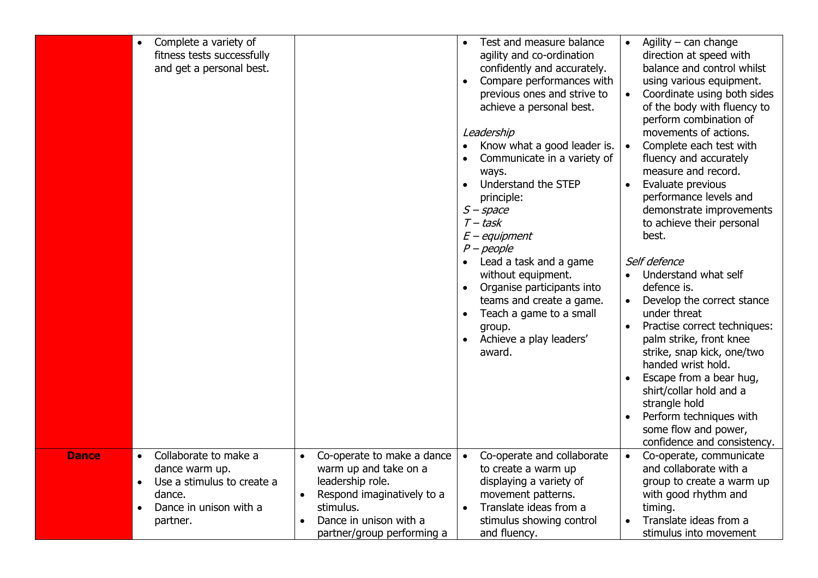| Complete a variety of<br>$\bullet$<br>fitness tests successfully<br>and get a personal best.                              |                                                                                                       | Test and measure balance<br>$\bullet$<br>agility and co-ordination<br>confidently and accurately.<br>Compare performances with<br>$\bullet$<br>previous ones and strive to<br>achieve a personal best.<br>Leadership<br>Know what a good leader is.<br>Communicate in a variety of<br>ways.<br>Understand the STEP<br>$\bullet$<br>principle:<br>$S$ – space<br>$T$ – task<br>$E$ – equipment<br>$P$ – people<br>Lead a task and a game<br>without equipment.<br>Organise participants into<br>$\bullet$<br>teams and create a game.<br>Teach a game to a small<br>$\bullet$<br>group.<br>Achieve a play leaders'<br>$\bullet$<br>award. | Agility $-$ can change<br>direction at speed with<br>balance and control whilst<br>using various equipment.<br>Coordinate using both sides<br>of the body with fluency to<br>perform combination of<br>movements of actions.<br>Complete each test with<br>fluency and accurately<br>measure and record.<br>Evaluate previous<br>performance levels and<br>demonstrate improvements<br>to achieve their personal<br>best.<br>Self defence<br>Understand what self<br>$\bullet$<br>defence is.<br>Develop the correct stance<br>under threat<br>Practise correct techniques:<br>$\bullet$<br>palm strike, front knee<br>strike, snap kick, one/two<br>handed wrist hold.<br>Escape from a bear hug,<br>shirt/collar hold and a<br>strangle hold<br>Perform techniques with<br>some flow and power,<br>confidence and consistency. |
|---------------------------------------------------------------------------------------------------------------------------|-------------------------------------------------------------------------------------------------------|------------------------------------------------------------------------------------------------------------------------------------------------------------------------------------------------------------------------------------------------------------------------------------------------------------------------------------------------------------------------------------------------------------------------------------------------------------------------------------------------------------------------------------------------------------------------------------------------------------------------------------------|----------------------------------------------------------------------------------------------------------------------------------------------------------------------------------------------------------------------------------------------------------------------------------------------------------------------------------------------------------------------------------------------------------------------------------------------------------------------------------------------------------------------------------------------------------------------------------------------------------------------------------------------------------------------------------------------------------------------------------------------------------------------------------------------------------------------------------|
| Collaborate to make a<br><b>Dance</b><br>$\bullet$<br>dance warm up.<br>Use a stimulus to create a<br>$\bullet$<br>dance. | Co-operate to make a dance<br>warm up and take on a<br>leadership role.<br>Respond imaginatively to a | Co-operate and collaborate<br>$\bullet$<br>to create a warm up<br>displaying a variety of<br>movement patterns.                                                                                                                                                                                                                                                                                                                                                                                                                                                                                                                          | Co-operate, communicate<br>$\bullet$<br>and collaborate with a<br>group to create a warm up<br>with good rhythm and                                                                                                                                                                                                                                                                                                                                                                                                                                                                                                                                                                                                                                                                                                              |
| Dance in unison with a<br>$\bullet$<br>partner.                                                                           | stimulus.<br>Dance in unison with a<br>partner/group performing a                                     | Translate ideas from a<br>$\bullet$<br>stimulus showing control<br>and fluency.                                                                                                                                                                                                                                                                                                                                                                                                                                                                                                                                                          | timing.<br>Translate ideas from a<br>stimulus into movement                                                                                                                                                                                                                                                                                                                                                                                                                                                                                                                                                                                                                                                                                                                                                                      |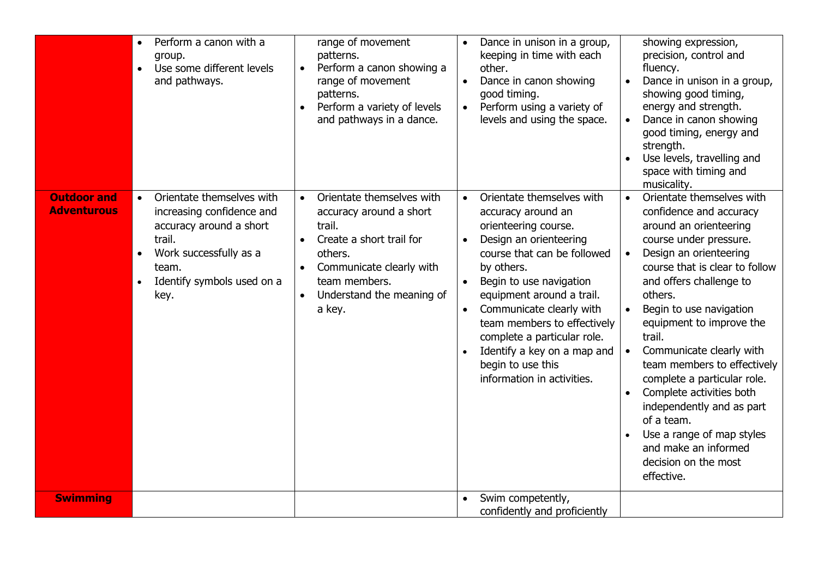|                                          | $\bullet$<br>$\bullet$ | Perform a canon with a<br>group.<br>Use some different levels<br>and pathways.                                                                                       | $\bullet$              | range of movement<br>patterns.<br>Perform a canon showing a<br>range of movement<br>patterns.<br>Perform a variety of levels<br>and pathways in a dance.                                  | $\bullet$<br>$\bullet$ | Dance in unison in a group,<br>keeping in time with each<br>other.<br>Dance in canon showing<br>good timing.<br>Perform using a variety of<br>levels and using the space.                                                                                                                                                                                                          | $\bullet$                           | showing expression,<br>precision, control and<br>fluency.<br>Dance in unison in a group,<br>showing good timing,<br>energy and strength.<br>Dance in canon showing<br>good timing, energy and<br>strength.<br>Use levels, travelling and<br>space with timing and<br>musicality.                                                                                                                                                                                                                                                        |
|------------------------------------------|------------------------|----------------------------------------------------------------------------------------------------------------------------------------------------------------------|------------------------|-------------------------------------------------------------------------------------------------------------------------------------------------------------------------------------------|------------------------|------------------------------------------------------------------------------------------------------------------------------------------------------------------------------------------------------------------------------------------------------------------------------------------------------------------------------------------------------------------------------------|-------------------------------------|-----------------------------------------------------------------------------------------------------------------------------------------------------------------------------------------------------------------------------------------------------------------------------------------------------------------------------------------------------------------------------------------------------------------------------------------------------------------------------------------------------------------------------------------|
| <b>Outdoor and</b><br><b>Adventurous</b> | $\bullet$              | Orientate themselves with<br>increasing confidence and<br>accuracy around a short<br>trail.<br>Work successfully as a<br>team.<br>Identify symbols used on a<br>key. | $\bullet$<br>$\bullet$ | Orientate themselves with<br>accuracy around a short<br>trail.<br>Create a short trail for<br>others.<br>Communicate clearly with<br>team members.<br>Understand the meaning of<br>a key. | $\bullet$<br>$\bullet$ | Orientate themselves with<br>accuracy around an<br>orienteering course.<br>Design an orienteering<br>course that can be followed<br>by others.<br>Begin to use navigation<br>equipment around a trail.<br>Communicate clearly with<br>team members to effectively<br>complete a particular role.<br>Identify a key on a map and<br>begin to use this<br>information in activities. | $\bullet$<br>$\bullet$<br>$\bullet$ | Orientate themselves with<br>confidence and accuracy<br>around an orienteering<br>course under pressure.<br>Design an orienteering<br>course that is clear to follow<br>and offers challenge to<br>others.<br>Begin to use navigation<br>equipment to improve the<br>trail.<br>Communicate clearly with<br>team members to effectively<br>complete a particular role.<br>Complete activities both<br>independently and as part<br>of a team.<br>Use a range of map styles<br>and make an informed<br>decision on the most<br>effective. |
| <b>Swimming</b>                          |                        |                                                                                                                                                                      |                        |                                                                                                                                                                                           |                        | Swim competently,<br>confidently and proficiently                                                                                                                                                                                                                                                                                                                                  |                                     |                                                                                                                                                                                                                                                                                                                                                                                                                                                                                                                                         |